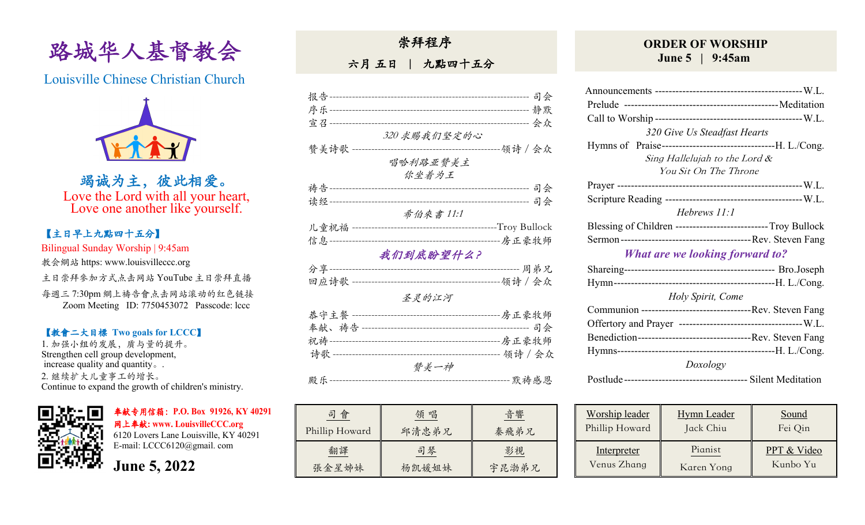

Louisville Chinese Christian Church



竭诚为主,彼此相爱。 Love the Lord with all your heart, Love one another like yourself.

### 【主日早上九點四⼗五分】

Bilingual Sunday Worship | 9:45am

教会網站 https: www.louisvilleccc.org

主日崇拜參加方式点击网站 YouTube 主日崇拜直播

每週三 7:30pm 網上禱告會点击网站滚动的红色链接 Zoom Meeting ID: 7750453072 Passcode: lccc

#### 【教會⼆⼤目標 **Two goals for LCCC**】

1. 加强小组的发展, 质与量的提升。 Strengthen cell group development, increase quality and quantity。. 2. 继续扩⼤⼉童事⼯的增长。 Continue to expand the growth of children's ministry.



奉献专用信箱:**P.O. Box 91926, KY 40291**  ⽹上奉献**: www. LouisvilleCCC.org**

6120 Lovers Lane Louisville, KY 40291 E-mail: LCCC6120@gmail. com

**June 5, 2022**

崇拜程序

六月 五日 | 九點四十五分

|                                 |                               | 司会                              |
|---------------------------------|-------------------------------|---------------------------------|
|                                 |                               | ------------------- 静默          |
| 宣召 ---------------------------- |                               |                                 |
|                                 | 320 求赐我们坚定的心                  |                                 |
| 赞美诗歌                            |                               | -领诗 / 会众                        |
|                                 | 唱哈利路亚赞美主                      |                                 |
|                                 | 你坐着为王                         |                                 |
| 祷告 ----------------             |                               |                                 |
|                                 |                               |                                 |
|                                 | 希伯來書 11:1                     |                                 |
| 儿童祝福                            |                               | -------------------Troy Bullock |
| 信息-----                         |                               |                                 |
|                                 | 我们到底盼望什么?                     |                                 |
| 分享-------                       |                               | -------------- 周弟兄              |
|                                 |                               |                                 |
|                                 | 圣灵的江河                         |                                 |
| 恭守主餐                            | ------------------------房正豪牧师 |                                 |
|                                 |                               |                                 |
|                                 |                               |                                 |
|                                 |                               |                                 |
|                                 | 赞美一神                          |                                 |
| 殿乐--------                      |                               | ---- 默祷感恩                       |

| 會<br>히         | 領 唱   | 音響    |
|----------------|-------|-------|
| Phillip Howard | 邱清忠弟兄 | 秦飛弟兄  |
| 翻譯             | 司琴    | 影視    |
| 張金星姊妹          | 杨凯媛姐妹 | 宇昆渤弟兄 |

### **ORDER OF WORSHIP June 5 | 9:45am**

| 320 Give Us Steadfast Hearts                                 |  |  |  |  |
|--------------------------------------------------------------|--|--|--|--|
|                                                              |  |  |  |  |
| Sing Hallelujah to the Lord &                                |  |  |  |  |
| You Sit On The Throne                                        |  |  |  |  |
|                                                              |  |  |  |  |
|                                                              |  |  |  |  |
| Hebrews $11:1$                                               |  |  |  |  |
| Blessing of Children ---------------------------Troy Bullock |  |  |  |  |
|                                                              |  |  |  |  |
| <b>What are we looking forward to?</b>                       |  |  |  |  |
|                                                              |  |  |  |  |
|                                                              |  |  |  |  |
| Holy Spirit, Come                                            |  |  |  |  |
|                                                              |  |  |  |  |
|                                                              |  |  |  |  |
|                                                              |  |  |  |  |
|                                                              |  |  |  |  |
| Doxology                                                     |  |  |  |  |
|                                                              |  |  |  |  |

| Worship leader | <b>Hymn</b> Leader | Sound       |
|----------------|--------------------|-------------|
| Phillip Howard | Jack Chiu          | Fei Qin     |
| Interpreter    | Pianist            | PPT & Video |
| Venus Zhang    | Karen Yong         | Kunbo Yu    |